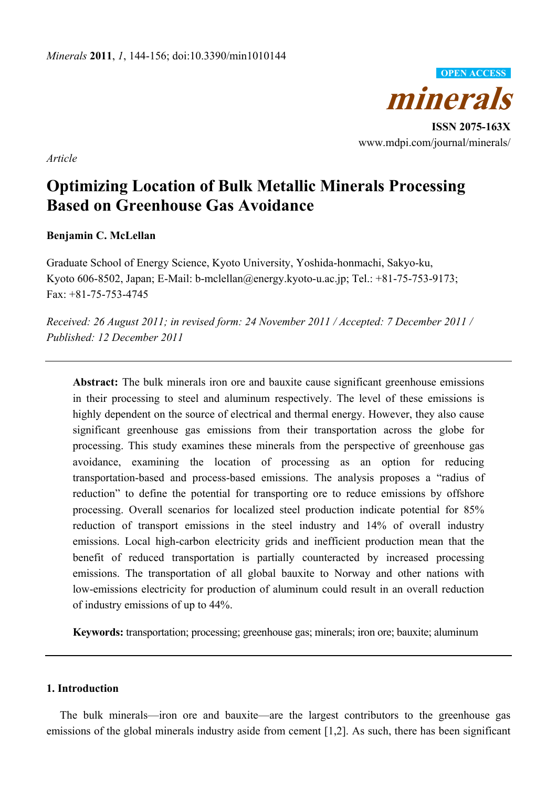

**ISSN 2075-163X**  www.mdpi.com/journal/minerals/

*Article* 

# **Optimizing Location of Bulk Metallic Minerals Processing Based on Greenhouse Gas Avoidance**

## **Benjamin C. McLellan**

Graduate School of Energy Science, Kyoto University, Yoshida-honmachi, Sakyo-ku, Kyoto 606-8502, Japan; E-Mail: b-mclellan@energy.kyoto-u.ac.jp; Tel.: +81-75-753-9173;  $Fax + 81 - 75 - 753 - 4745$ 

*Received: 26 August 2011; in revised form: 24 November 2011 / Accepted: 7 December 2011 / Published: 12 December 2011* 

**Abstract:** The bulk minerals iron ore and bauxite cause significant greenhouse emissions in their processing to steel and aluminum respectively. The level of these emissions is highly dependent on the source of electrical and thermal energy. However, they also cause significant greenhouse gas emissions from their transportation across the globe for processing. This study examines these minerals from the perspective of greenhouse gas avoidance, examining the location of processing as an option for reducing transportation-based and process-based emissions. The analysis proposes a "radius of reduction" to define the potential for transporting ore to reduce emissions by offshore processing. Overall scenarios for localized steel production indicate potential for 85% reduction of transport emissions in the steel industry and 14% of overall industry emissions. Local high-carbon electricity grids and inefficient production mean that the benefit of reduced transportation is partially counteracted by increased processing emissions. The transportation of all global bauxite to Norway and other nations with low-emissions electricity for production of aluminum could result in an overall reduction of industry emissions of up to 44%.

**Keywords:** transportation; processing; greenhouse gas; minerals; iron ore; bauxite; aluminum

## **1. Introduction**

The bulk minerals—iron ore and bauxite—are the largest contributors to the greenhouse gas emissions of the global minerals industry aside from cement [1,2]. As such, there has been significant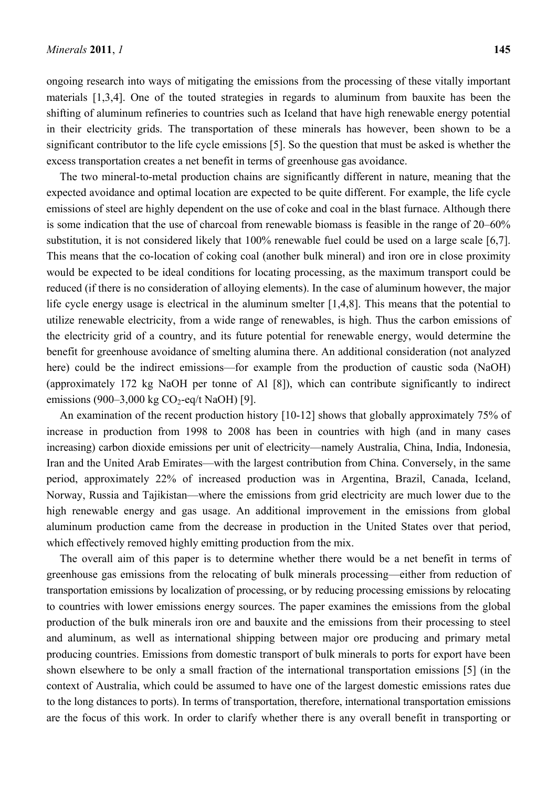ongoing research into ways of mitigating the emissions from the processing of these vitally important materials [1,3,4]. One of the touted strategies in regards to aluminum from bauxite has been the shifting of aluminum refineries to countries such as Iceland that have high renewable energy potential in their electricity grids. The transportation of these minerals has however, been shown to be a significant contributor to the life cycle emissions [5]. So the question that must be asked is whether the excess transportation creates a net benefit in terms of greenhouse gas avoidance.

The two mineral-to-metal production chains are significantly different in nature, meaning that the expected avoidance and optimal location are expected to be quite different. For example, the life cycle emissions of steel are highly dependent on the use of coke and coal in the blast furnace. Although there is some indication that the use of charcoal from renewable biomass is feasible in the range of 20–60% substitution, it is not considered likely that 100% renewable fuel could be used on a large scale [6,7]. This means that the co-location of coking coal (another bulk mineral) and iron ore in close proximity would be expected to be ideal conditions for locating processing, as the maximum transport could be reduced (if there is no consideration of alloying elements). In the case of aluminum however, the major life cycle energy usage is electrical in the aluminum smelter [1,4,8]. This means that the potential to utilize renewable electricity, from a wide range of renewables, is high. Thus the carbon emissions of the electricity grid of a country, and its future potential for renewable energy, would determine the benefit for greenhouse avoidance of smelting alumina there. An additional consideration (not analyzed here) could be the indirect emissions—for example from the production of caustic soda (NaOH) (approximately 172 kg NaOH per tonne of Al [8]), which can contribute significantly to indirect emissions (900–3,000 kg  $CO<sub>2</sub>$ -eq/t NaOH) [9].

An examination of the recent production history [10-12] shows that globally approximately 75% of increase in production from 1998 to 2008 has been in countries with high (and in many cases increasing) carbon dioxide emissions per unit of electricity—namely Australia, China, India, Indonesia, Iran and the United Arab Emirates—with the largest contribution from China. Conversely, in the same period, approximately 22% of increased production was in Argentina, Brazil, Canada, Iceland, Norway, Russia and Tajikistan—where the emissions from grid electricity are much lower due to the high renewable energy and gas usage. An additional improvement in the emissions from global aluminum production came from the decrease in production in the United States over that period, which effectively removed highly emitting production from the mix.

The overall aim of this paper is to determine whether there would be a net benefit in terms of greenhouse gas emissions from the relocating of bulk minerals processing—either from reduction of transportation emissions by localization of processing, or by reducing processing emissions by relocating to countries with lower emissions energy sources. The paper examines the emissions from the global production of the bulk minerals iron ore and bauxite and the emissions from their processing to steel and aluminum, as well as international shipping between major ore producing and primary metal producing countries. Emissions from domestic transport of bulk minerals to ports for export have been shown elsewhere to be only a small fraction of the international transportation emissions [5] (in the context of Australia, which could be assumed to have one of the largest domestic emissions rates due to the long distances to ports). In terms of transportation, therefore, international transportation emissions are the focus of this work. In order to clarify whether there is any overall benefit in transporting or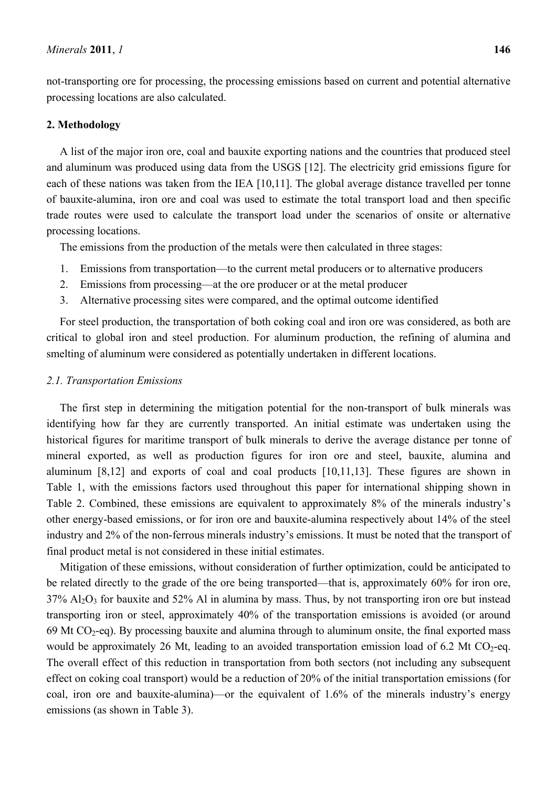not-transporting ore for processing, the processing emissions based on current and potential alternative processing locations are also calculated.

## **2. Methodology**

A list of the major iron ore, coal and bauxite exporting nations and the countries that produced steel and aluminum was produced using data from the USGS [12]. The electricity grid emissions figure for each of these nations was taken from the IEA [10,11]. The global average distance travelled per tonne of bauxite-alumina, iron ore and coal was used to estimate the total transport load and then specific trade routes were used to calculate the transport load under the scenarios of onsite or alternative processing locations.

The emissions from the production of the metals were then calculated in three stages:

- 1. Emissions from transportation—to the current metal producers or to alternative producers
- 2. Emissions from processing—at the ore producer or at the metal producer
- 3. Alternative processing sites were compared, and the optimal outcome identified

For steel production, the transportation of both coking coal and iron ore was considered, as both are critical to global iron and steel production. For aluminum production, the refining of alumina and smelting of aluminum were considered as potentially undertaken in different locations.

#### *2.1. Transportation Emissions*

The first step in determining the mitigation potential for the non-transport of bulk minerals was identifying how far they are currently transported. An initial estimate was undertaken using the historical figures for maritime transport of bulk minerals to derive the average distance per tonne of mineral exported, as well as production figures for iron ore and steel, bauxite, alumina and aluminum [8,12] and exports of coal and coal products [10,11,13]. These figures are shown in Table 1, with the emissions factors used throughout this paper for international shipping shown in Table 2. Combined, these emissions are equivalent to approximately 8% of the minerals industry's other energy-based emissions, or for iron ore and bauxite-alumina respectively about 14% of the steel industry and 2% of the non-ferrous minerals industry's emissions. It must be noted that the transport of final product metal is not considered in these initial estimates.

Mitigation of these emissions, without consideration of further optimization, could be anticipated to be related directly to the grade of the ore being transported—that is, approximately 60% for iron ore,  $37\%$  Al<sub>2</sub>O<sub>3</sub> for bauxite and  $52\%$  Al in alumina by mass. Thus, by not transporting iron ore but instead transporting iron or steel, approximately 40% of the transportation emissions is avoided (or around 69 Mt  $CO_2$ -eq). By processing bauxite and alumina through to aluminum onsite, the final exported mass would be approximately 26 Mt, leading to an avoided transportation emission load of 6.2 Mt CO<sub>2</sub>-eq. The overall effect of this reduction in transportation from both sectors (not including any subsequent effect on coking coal transport) would be a reduction of 20% of the initial transportation emissions (for coal, iron ore and bauxite-alumina)—or the equivalent of 1.6% of the minerals industry's energy emissions (as shown in Table 3).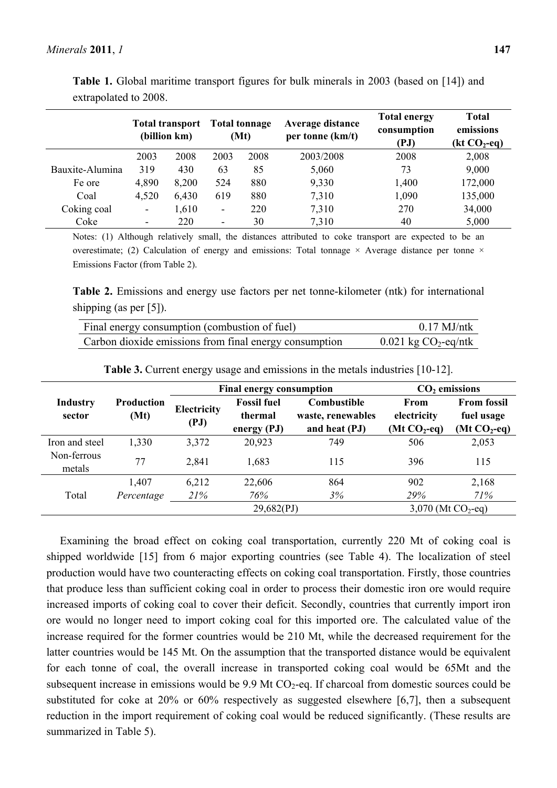|                 |       | <b>Total transport</b><br>(billion km) |                          | <b>Total tonnage</b><br>(Mt) | Average distance<br>per tonne (km/t) | <b>Total energy</b><br>consumption<br>(PJ) | <b>Total</b><br>emissions<br>$(kt CO2-eq)$ |
|-----------------|-------|----------------------------------------|--------------------------|------------------------------|--------------------------------------|--------------------------------------------|--------------------------------------------|
|                 | 2003  | 2008                                   | 2003                     | 2008                         | 2003/2008                            | 2008                                       | 2,008                                      |
| Bauxite-Alumina | 319   | 430                                    | 63                       | 85                           | 5,060                                | 73                                         | 9,000                                      |
| Fe ore          | 4,890 | 8,200                                  | 524                      | 880                          | 9,330                                | 1,400                                      | 172,000                                    |
| Coal            | 4,520 | 6,430                                  | 619                      | 880                          | 7,310                                | 1,090                                      | 135,000                                    |
| Coking coal     | ۰     | 1,610                                  | ۰                        | 220                          | 7,310                                | 270                                        | 34,000                                     |
| Coke            | ۰.    | 220                                    | $\overline{\phantom{a}}$ | 30                           | 7,310                                | 40                                         | 5,000                                      |

**Table 1.** Global maritime transport figures for bulk minerals in 2003 (based on [14]) and extrapolated to 2008.

Notes: (1) Although relatively small, the distances attributed to coke transport are expected to be an overestimate; (2) Calculation of energy and emissions: Total tonnage  $\times$  Average distance per tonne  $\times$ Emissions Factor (from Table 2).

**Table 2.** Emissions and energy use factors per net tonne-kilometer (ntk) for international shipping (as per [5]).

| Final energy consumption (combustion of fuel)          | $0.17$ MJ/ntk                      |
|--------------------------------------------------------|------------------------------------|
| Carbon dioxide emissions from final energy consumption | $0.021$ kg CO <sub>2</sub> -eq/ntk |

|                           |                           |                            | <b>Final energy consumption</b>                | $CO2$ emissions                                          |                                             |                                                   |
|---------------------------|---------------------------|----------------------------|------------------------------------------------|----------------------------------------------------------|---------------------------------------------|---------------------------------------------------|
| <b>Industry</b><br>sector | <b>Production</b><br>(Mt) | <b>Electricity</b><br>(PJ) | <b>Fossil fuel</b><br>thermal<br>energy $(PJ)$ | <b>Combustible</b><br>waste, renewables<br>and heat (PJ) | <b>From</b><br>electricity<br>$(Mt CO2-eq)$ | <b>From fossil</b><br>fuel usage<br>$(Mt CO2-eq)$ |
| Iron and steel            | 1,330                     | 3,372                      | 20,923                                         | 749                                                      | 506                                         | 2,053                                             |
| Non-ferrous<br>metals     | 77                        | 2,841                      | 1,683                                          | 115                                                      | 396                                         | 115                                               |
|                           | 1,407                     | 6,212                      | 22,606                                         | 864                                                      | 902                                         | 2,168                                             |
| Total                     | Percentage                | 21%                        | 76%                                            | 3%                                                       | 29%                                         | 71%                                               |
|                           |                           |                            | 29,682(PJ)                                     |                                                          | 3,070 (Mt $CO_2$ -eq)                       |                                                   |

**Table 3.** Current energy usage and emissions in the metals industries [10-12].

Examining the broad effect on coking coal transportation, currently 220 Mt of coking coal is shipped worldwide [15] from 6 major exporting countries (see Table 4). The localization of steel production would have two counteracting effects on coking coal transportation. Firstly, those countries that produce less than sufficient coking coal in order to process their domestic iron ore would require increased imports of coking coal to cover their deficit. Secondly, countries that currently import iron ore would no longer need to import coking coal for this imported ore. The calculated value of the increase required for the former countries would be 210 Mt, while the decreased requirement for the latter countries would be 145 Mt. On the assumption that the transported distance would be equivalent for each tonne of coal, the overall increase in transported coking coal would be 65Mt and the subsequent increase in emissions would be  $9.9$  Mt CO<sub>2</sub>-eq. If charcoal from domestic sources could be substituted for coke at 20% or 60% respectively as suggested elsewhere [6,7], then a subsequent reduction in the import requirement of coking coal would be reduced significantly. (These results are summarized in Table 5).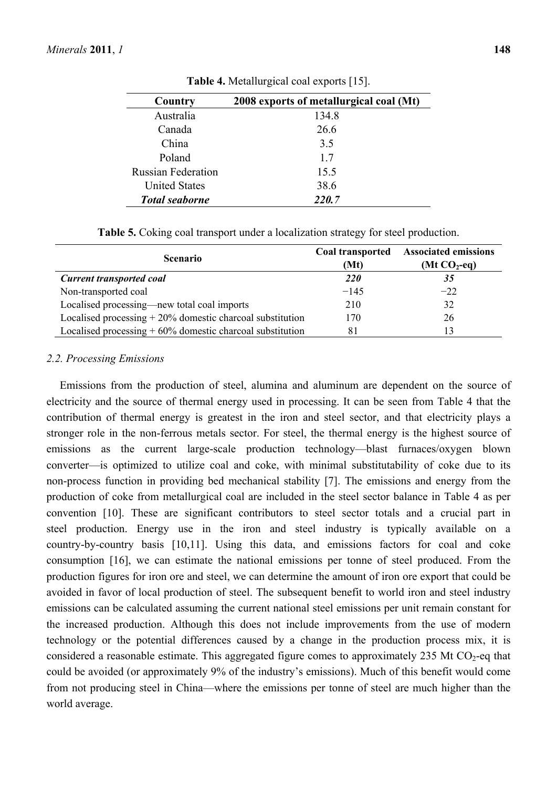| Country                   | 2008 exports of metallurgical coal (Mt) |
|---------------------------|-----------------------------------------|
| Australia                 | 134.8                                   |
| Canada                    | 26.6                                    |
| China                     | 3.5                                     |
| Poland                    | 17                                      |
| <b>Russian Federation</b> | 15.5                                    |
| <b>United States</b>      | 38.6                                    |
| <b>Total seaborne</b>     | 220.7                                   |

**Table 4.** Metallurgical coal exports [15].

| <b>Total seaborne</b>     | 220.7 |
|---------------------------|-------|
| <b>United States</b>      | 38.6  |
| <b>Russian Federation</b> | 15.5  |
| Poland                    |       |

**Table 5.** Coking coal transport under a localization strategy for steel production.

| <b>Scenario</b>                                             | Coal transported<br>(Mt) | <b>Associated emissions</b><br>(Mt $CO2$ -eq) |
|-------------------------------------------------------------|--------------------------|-----------------------------------------------|
| <b>Current transported coal</b>                             | <b>220</b>               | 35                                            |
| Non-transported coal                                        | $-145$                   | $-22$                                         |
| Localised processing—new total coal imports                 | 210                      | 32                                            |
| Localised processing $+20\%$ domestic charcoal substitution | 170                      | 26                                            |
| Localised processing $+60\%$ domestic charcoal substitution | 81                       | 13                                            |

# *2.2. Processing Emissions*

Emissions from the production of steel, alumina and aluminum are dependent on the source of electricity and the source of thermal energy used in processing. It can be seen from Table 4 that the contribution of thermal energy is greatest in the iron and steel sector, and that electricity plays a stronger role in the non-ferrous metals sector. For steel, the thermal energy is the highest source of emissions as the current large-scale production technology—blast furnaces/oxygen blown converter—is optimized to utilize coal and coke, with minimal substitutability of coke due to its non-process function in providing bed mechanical stability [7]. The emissions and energy from the production of coke from metallurgical coal are included in the steel sector balance in Table 4 as per convention [10]. These are significant contributors to steel sector totals and a crucial part in steel production. Energy use in the iron and steel industry is typically available on a country-by-country basis [10,11]. Using this data, and emissions factors for coal and coke consumption [16], we can estimate the national emissions per tonne of steel produced. From the production figures for iron ore and steel, we can determine the amount of iron ore export that could be avoided in favor of local production of steel. The subsequent benefit to world iron and steel industry emissions can be calculated assuming the current national steel emissions per unit remain constant for the increased production. Although this does not include improvements from the use of modern technology or the potential differences caused by a change in the production process mix, it is considered a reasonable estimate. This aggregated figure comes to approximately 235 Mt  $CO<sub>2</sub>$ -eq that could be avoided (or approximately 9% of the industry's emissions). Much of this benefit would come from not producing steel in China—where the emissions per tonne of steel are much higher than the world average.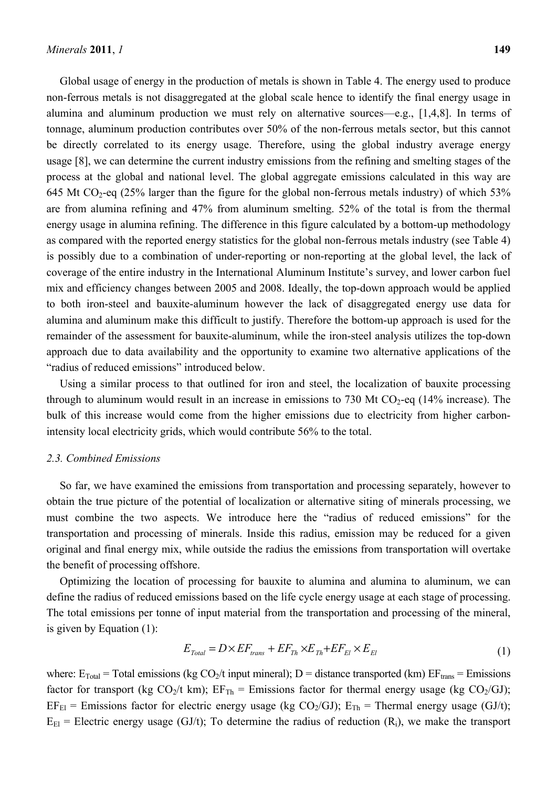Global usage of energy in the production of metals is shown in Table 4. The energy used to produce non-ferrous metals is not disaggregated at the global scale hence to identify the final energy usage in alumina and aluminum production we must rely on alternative sources—e.g., [1,4,8]. In terms of tonnage, aluminum production contributes over 50% of the non-ferrous metals sector, but this cannot be directly correlated to its energy usage. Therefore, using the global industry average energy usage [8], we can determine the current industry emissions from the refining and smelting stages of the process at the global and national level. The global aggregate emissions calculated in this way are 645 Mt CO<sub>2</sub>-eq (25% larger than the figure for the global non-ferrous metals industry) of which 53% are from alumina refining and 47% from aluminum smelting. 52% of the total is from the thermal energy usage in alumina refining. The difference in this figure calculated by a bottom-up methodology as compared with the reported energy statistics for the global non-ferrous metals industry (see Table 4) is possibly due to a combination of under-reporting or non-reporting at the global level, the lack of coverage of the entire industry in the International Aluminum Institute's survey, and lower carbon fuel mix and efficiency changes between 2005 and 2008. Ideally, the top-down approach would be applied to both iron-steel and bauxite-aluminum however the lack of disaggregated energy use data for alumina and aluminum make this difficult to justify. Therefore the bottom-up approach is used for the remainder of the assessment for bauxite-aluminum, while the iron-steel analysis utilizes the top-down approach due to data availability and the opportunity to examine two alternative applications of the "radius of reduced emissions" introduced below.

Using a similar process to that outlined for iron and steel, the localization of bauxite processing through to aluminum would result in an increase in emissions to 730 Mt  $CO<sub>2</sub>$ -eq (14% increase). The bulk of this increase would come from the higher emissions due to electricity from higher carbonintensity local electricity grids, which would contribute 56% to the total.

#### *2.3. Combined Emissions*

So far, we have examined the emissions from transportation and processing separately, however to obtain the true picture of the potential of localization or alternative siting of minerals processing, we must combine the two aspects. We introduce here the "radius of reduced emissions" for the transportation and processing of minerals. Inside this radius, emission may be reduced for a given original and final energy mix, while outside the radius the emissions from transportation will overtake the benefit of processing offshore.

Optimizing the location of processing for bauxite to alumina and alumina to aluminum, we can define the radius of reduced emissions based on the life cycle energy usage at each stage of processing. The total emissions per tonne of input material from the transportation and processing of the mineral, is given by Equation (1):

$$
E_{\text{Total}} = D \times EF_{\text{trans}} + EF_{\text{Th}} \times E_{\text{Th}} + EF_{\text{El}} \times E_{\text{El}} \tag{1}
$$

where:  $E_{Total}$  = Total emissions (kg CO<sub>2</sub>/t input mineral); D = distance transported (km)  $EF_{trans}$  = Emissions factor for transport (kg  $CO_2/t$  km);  $EF_{Th}$  = Emissions factor for thermal energy usage (kg  $CO_2/GJ$ );  $EF_{El}$  = Emissions factor for electric energy usage (kg CO<sub>2</sub>/GJ);  $E_{Th}$  = Thermal energy usage (GJ/t);  $E_{\text{EI}}$  = Electric energy usage (GJ/t); To determine the radius of reduction (R<sub>i</sub>), we make the transport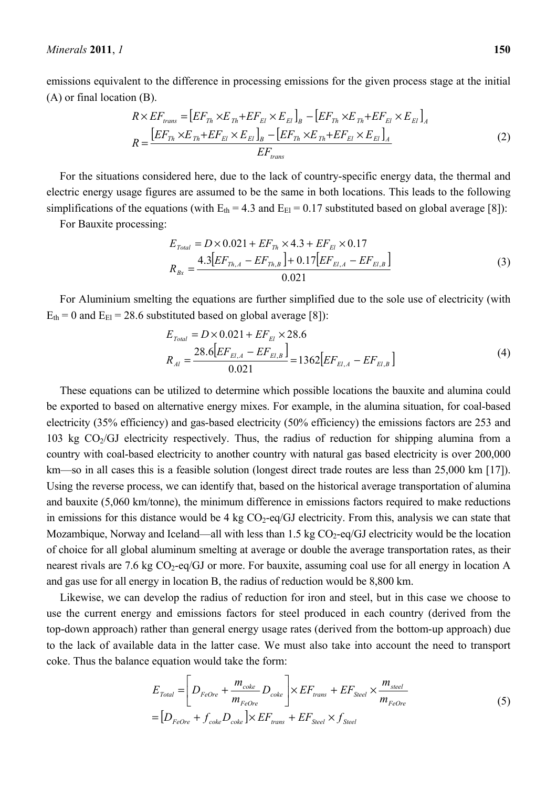*Minerals* **2011**, *1* **150**

emissions equivalent to the difference in processing emissions for the given process stage at the initial (A) or final location (B).

$$
R \times EF_{trans} = \left[ EF_{Th} \times E_{Th} + EF_{El} \times E_{El} \right]_B - \left[ EF_{Th} \times E_{Th} + EF_{El} \times E_{El} \right]_A
$$
  
\n
$$
R = \frac{\left[ EF_{Th} \times E_{Th} + EF_{El} \times E_{El} \right]_B - \left[ EF_{Th} \times E_{Th} + EF_{El} \times E_{El} \right]_A}{EF_{trans}}
$$
(2)

For the situations considered here, due to the lack of country-specific energy data, the thermal and electric energy usage figures are assumed to be the same in both locations. This leads to the following simplifications of the equations (with  $E_{th} = 4.3$  and  $E_{El} = 0.17$  substituted based on global average [8]):

For Bauxite processing:

$$
E_{Total} = D \times 0.021 + EF_{Th} \times 4.3 + EF_{EI} \times 0.17
$$
  

$$
R_{Bx} = \frac{4.3[EF_{Th,A} - EF_{Th,B}] + 0.17[EF_{EI,A} - EF_{EI,B}]}{0.021}
$$
 (3)

For Aluminium smelting the equations are further simplified due to the sole use of electricity (with  $E_{th} = 0$  and  $E_{El} = 28.6$  substituted based on global average [8]):

$$
E_{Total} = D \times 0.021 + EF_{EI} \times 28.6
$$
  

$$
R_{Al} = \frac{28.6[EF_{EI,A} - EF_{EI,B}]}{0.021} = 1362[EF_{EI,A} - EF_{EI,B}]
$$
 (4)

These equations can be utilized to determine which possible locations the bauxite and alumina could be exported to based on alternative energy mixes. For example, in the alumina situation, for coal-based electricity (35% efficiency) and gas-based electricity (50% efficiency) the emissions factors are 253 and 103 kg  $CO<sub>2</sub>/GI$  electricity respectively. Thus, the radius of reduction for shipping alumina from a country with coal-based electricity to another country with natural gas based electricity is over 200,000 km—so in all cases this is a feasible solution (longest direct trade routes are less than 25,000 km [17]). Using the reverse process, we can identify that, based on the historical average transportation of alumina and bauxite (5,060 km/tonne), the minimum difference in emissions factors required to make reductions in emissions for this distance would be 4 kg  $CO<sub>2</sub>$ -eq/GJ electricity. From this, analysis we can state that Mozambique, Norway and Iceland—all with less than  $1.5 \text{ kg CO}_2$ -eq/GJ electricity would be the location of choice for all global aluminum smelting at average or double the average transportation rates, as their nearest rivals are 7.6 kg CO<sub>2</sub>-eq/GJ or more. For bauxite, assuming coal use for all energy in location A and gas use for all energy in location B, the radius of reduction would be 8,800 km.

Likewise, we can develop the radius of reduction for iron and steel, but in this case we choose to use the current energy and emissions factors for steel produced in each country (derived from the top-down approach) rather than general energy usage rates (derived from the bottom-up approach) due to the lack of available data in the latter case. We must also take into account the need to transport coke. Thus the balance equation would take the form:

$$
E_{\text{Total}} = \left[ D_{\text{FeOre}} + \frac{m_{\text{coke}}}{m_{\text{FeOre}}} D_{\text{coke}} \right] \times EF_{\text{trans}} + EF_{\text{Steel}} \times \frac{m_{\text{steel}}}{m_{\text{FeOre}}} = \left[ D_{\text{FeOre}} + f_{\text{coke}} D_{\text{coke}} \right] \times EF_{\text{trans}} + EF_{\text{Steel}} \times f_{\text{Steel}} \tag{5}
$$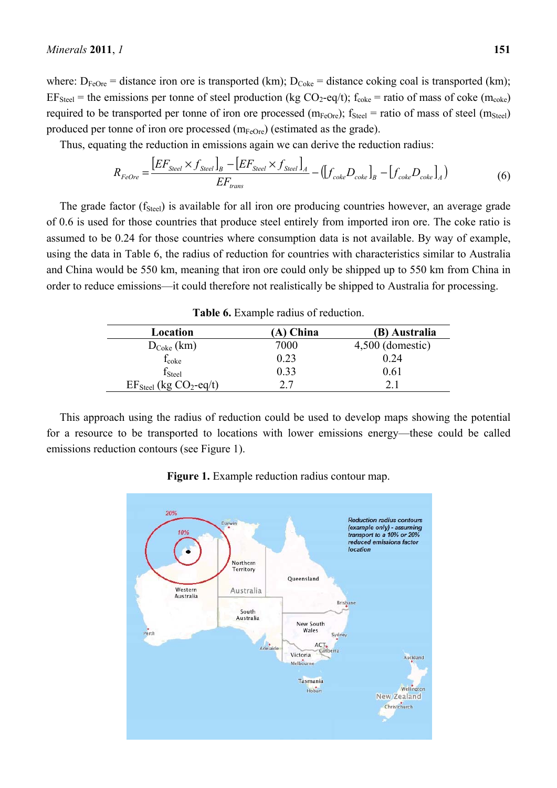where:  $D_{FeOre}$  = distance iron ore is transported (km);  $D_{Coke}$  = distance coking coal is transported (km);  $EF_{Steel}$  = the emissions per tonne of steel production (kg CO<sub>2</sub>-eq/t);  $f_{coke}$  = ratio of mass of coke (m<sub>coke</sub>) required to be transported per tonne of iron ore processed ( $m_{FeOre}$ );  $f_{Steel}$  = ratio of mass of steel ( $m_{Steel}$ ) produced per tonne of iron ore processed  $(m_{FeOre})$  (estimated as the grade).

Thus, equating the reduction in emissions again we can derive the reduction radius:

$$
R_{FeOre} = \frac{\left[EF_{Sleel} \times f_{Sleel}\right]_B - \left[EF_{Sleel} \times f_{Sleel}\right]_A}{EF_{trans}} - \left(\left[f_{coke}D_{coke}\right]_B - \left[f_{coke}D_{coke}\right]_A\right) \tag{6}
$$

The grade factor  $(f<sub>Steel</sub>)$  is available for all iron ore producing countries however, an average grade of 0.6 is used for those countries that produce steel entirely from imported iron ore. The coke ratio is assumed to be 0.24 for those countries where consumption data is not available. By way of example, using the data in Table 6, the radius of reduction for countries with characteristics similar to Australia and China would be 550 km, meaning that iron ore could only be shipped up to 550 km from China in order to reduce emissions—it could therefore not realistically be shipped to Australia for processing.

| Location                                      | A) China | (B) Australia      |
|-----------------------------------------------|----------|--------------------|
| $D_{\text{Coke}}\left(\text{km}\right)$       | 7000     | $4,500$ (domestic) |
| <b>L</b> coke                                 | 0.23     | 0.24               |
| $\rm f_{Stel}$                                | 0.33     | 0.61               |
| $EF_{\text{Stel}}$ (kg CO <sub>2</sub> -eq/t) |          |                    |

**Table 6.** Example radius of reduction.

This approach using the radius of reduction could be used to develop maps showing the potential for a resource to be transported to locations with lower emissions energy—these could be called emissions reduction contours (see Figure 1).



**Figure 1.** Example reduction radius contour map.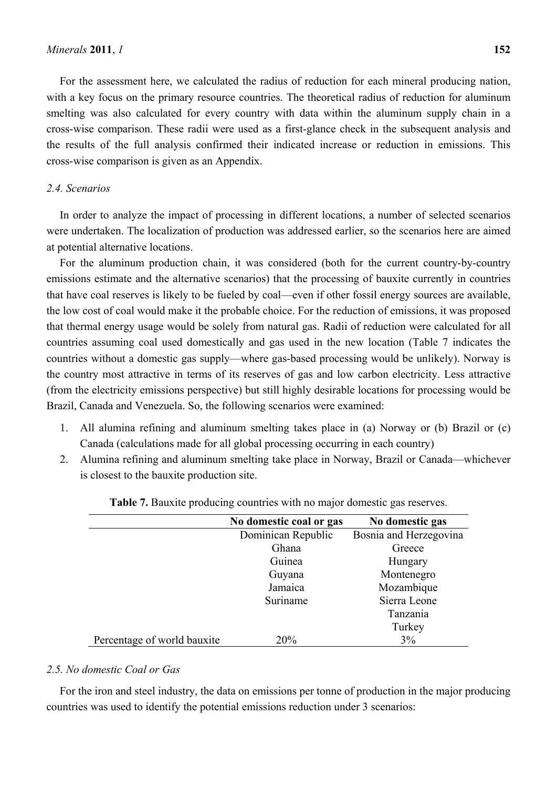For the assessment here, we calculated the radius of reduction for each mineral producing nation, with a key focus on the primary resource countries. The theoretical radius of reduction for aluminum smelting was also calculated for every country with data within the aluminum supply chain in a cross-wise comparison. These radii were used as a first-glance check in the subsequent analysis and the results of the full analysis confirmed their indicated increase or reduction in emissions. This cross-wise comparison is given as an Appendix.

#### *2.4. Scenarios*

In order to analyze the impact of processing in different locations, a number of selected scenarios were undertaken. The localization of production was addressed earlier, so the scenarios here are aimed at potential alternative locations.

For the aluminum production chain, it was considered (both for the current country-by-country emissions estimate and the alternative scenarios) that the processing of bauxite currently in countries that have coal reserves is likely to be fueled by coal—even if other fossil energy sources are available, the low cost of coal would make it the probable choice. For the reduction of emissions, it was proposed that thermal energy usage would be solely from natural gas. Radii of reduction were calculated for all countries assuming coal used domestically and gas used in the new location (Table 7 indicates the countries without a domestic gas supply—where gas-based processing would be unlikely). Norway is the country most attractive in terms of its reserves of gas and low carbon electricity. Less attractive (from the electricity emissions perspective) but still highly desirable locations for processing would be Brazil, Canada and Venezuela. So, the following scenarios were examined:

- 1. All alumina refining and aluminum smelting takes place in (a) Norway or (b) Brazil or (c) Canada (calculations made for all global processing occurring in each country)
- 2. Alumina refining and aluminum smelting take place in Norway, Brazil or Canada—whichever is closest to the bauxite production site.

|                             | No domestic coal or gas | No domestic gas        |
|-----------------------------|-------------------------|------------------------|
|                             | Dominican Republic      | Bosnia and Herzegovina |
|                             | Ghana                   | Greece                 |
|                             | Guinea                  | Hungary                |
|                             | Guyana                  | Montenegro             |
|                             | Jamaica                 | Mozambique             |
|                             | Suriname                | Sierra Leone           |
|                             |                         | Tanzania               |
|                             |                         | Turkey                 |
| Percentage of world bauxite | 20%                     | 3%                     |

**Table 7.** Bauxite producing countries with no major domestic gas reserves.

#### *2.5. No domestic Coal or Gas*

For the iron and steel industry, the data on emissions per tonne of production in the major producing countries was used to identify the potential emissions reduction under 3 scenarios: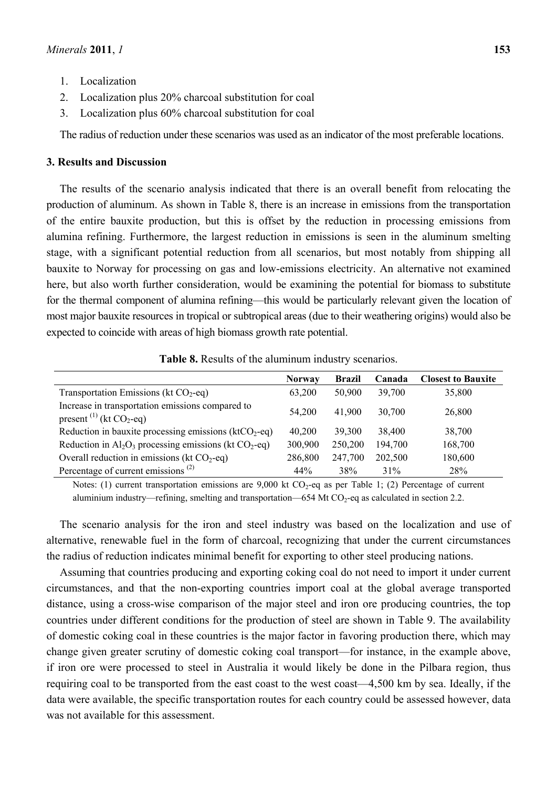- 1. Localization
- 2. Localization plus 20% charcoal substitution for coal
- 3. Localization plus 60% charcoal substitution for coal

The radius of reduction under these scenarios was used as an indicator of the most preferable locations.

## **3. Results and Discussion**

The results of the scenario analysis indicated that there is an overall benefit from relocating the production of aluminum. As shown in Table 8, there is an increase in emissions from the transportation of the entire bauxite production, but this is offset by the reduction in processing emissions from alumina refining. Furthermore, the largest reduction in emissions is seen in the aluminum smelting stage, with a significant potential reduction from all scenarios, but most notably from shipping all bauxite to Norway for processing on gas and low-emissions electricity. An alternative not examined here, but also worth further consideration, would be examining the potential for biomass to substitute for the thermal component of alumina refining—this would be particularly relevant given the location of most major bauxite resources in tropical or subtropical areas (due to their weathering origins) would also be expected to coincide with areas of high biomass growth rate potential.

**Table 8.** Results of the aluminum industry scenarios.

|                                                                                            | <b>Norway</b> | <b>Brazil</b> | Canada  | <b>Closest to Bauxite</b> |
|--------------------------------------------------------------------------------------------|---------------|---------------|---------|---------------------------|
| Transportation Emissions (kt $CO2$ -eq)                                                    | 63,200        | 50,900        | 39,700  | 35,800                    |
| Increase in transportation emissions compared to<br>present <sup>(1)</sup> (kt $CO_2$ -eq) | 54,200        | 41,900        | 30,700  | 26,800                    |
| Reduction in bauxite processing emissions $(ktCO2-eq)$                                     | 40,200        | 39,300        | 38,400  | 38,700                    |
| Reduction in $Al_2O_3$ processing emissions (kt $CO_2$ -eq)                                | 300,900       | 250,200       | 194,700 | 168,700                   |
| Overall reduction in emissions (kt $CO2$ -eq)                                              | 286,800       | 247,700       | 202,500 | 180,600                   |
| Percentage of current emissions <sup><math>(2)</math></sup>                                | 44%           | 38%           | 31%     | 28%                       |

Notes: (1) current transportation emissions are  $9,000$  kt  $CO<sub>2</sub>$ -eq as per Table 1; (2) Percentage of current aluminium industry—refining, smelting and transportation—654 Mt  $CO<sub>2</sub>$ -eq as calculated in section 2.2.

The scenario analysis for the iron and steel industry was based on the localization and use of alternative, renewable fuel in the form of charcoal, recognizing that under the current circumstances the radius of reduction indicates minimal benefit for exporting to other steel producing nations.

Assuming that countries producing and exporting coking coal do not need to import it under current circumstances, and that the non-exporting countries import coal at the global average transported distance, using a cross-wise comparison of the major steel and iron ore producing countries, the top countries under different conditions for the production of steel are shown in Table 9. The availability of domestic coking coal in these countries is the major factor in favoring production there, which may change given greater scrutiny of domestic coking coal transport—for instance, in the example above, if iron ore were processed to steel in Australia it would likely be done in the Pilbara region, thus requiring coal to be transported from the east coast to the west coast—4,500 km by sea. Ideally, if the data were available, the specific transportation routes for each country could be assessed however, data was not available for this assessment.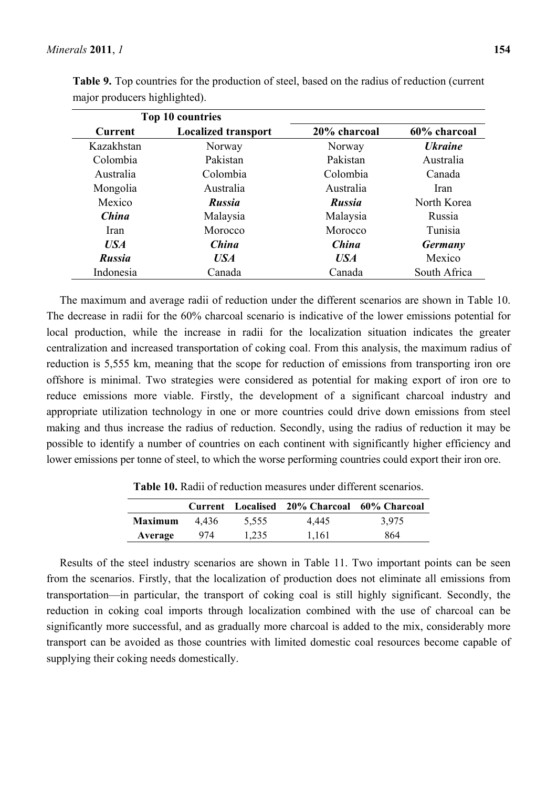|               | Top 10 countries           |               |                       |
|---------------|----------------------------|---------------|-----------------------|
| Current       | <b>Localized transport</b> | 20% charcoal  | 60% charcoal          |
| Kazakhstan    | Norway                     | Norway        | <b><i>Ukraine</i></b> |
| Colombia      | Pakistan                   | Pakistan      | Australia             |
| Australia     | Colombia                   | Colombia      | Canada                |
| Mongolia      | Australia                  | Australia     | Iran                  |
| Mexico        | <b>Russia</b>              | <b>Russia</b> | North Korea           |
| China         | Malaysia                   | Malaysia      | Russia                |
| Iran          | Morocco                    | Morocco       | Tunisia               |
| USA           | <b>China</b>               | China         | <b>Germany</b>        |
| <b>Russia</b> | <b>USA</b>                 | <b>USA</b>    | Mexico                |
| Indonesia     | Canada                     | Canada        | South Africa          |

**Table 9.** Top countries for the production of steel, based on the radius of reduction (current major producers highlighted).

The maximum and average radii of reduction under the different scenarios are shown in Table 10. The decrease in radii for the 60% charcoal scenario is indicative of the lower emissions potential for local production, while the increase in radii for the localization situation indicates the greater centralization and increased transportation of coking coal. From this analysis, the maximum radius of reduction is 5,555 km, meaning that the scope for reduction of emissions from transporting iron ore offshore is minimal. Two strategies were considered as potential for making export of iron ore to reduce emissions more viable. Firstly, the development of a significant charcoal industry and appropriate utilization technology in one or more countries could drive down emissions from steel making and thus increase the radius of reduction. Secondly, using the radius of reduction it may be possible to identify a number of countries on each continent with significantly higher efficiency and lower emissions per tonne of steel, to which the worse performing countries could export their iron ore.

|                |       |       | Current Localised 20% Charcoal 60% Charcoal |       |
|----------------|-------|-------|---------------------------------------------|-------|
| <b>Maximum</b> | 4.436 | 5.555 | 4.445                                       | 3.975 |
| Average        | 974   | 1.235 | 1.161                                       | 864   |

**Table 10.** Radii of reduction measures under different scenarios.

Results of the steel industry scenarios are shown in Table 11. Two important points can be seen from the scenarios. Firstly, that the localization of production does not eliminate all emissions from transportation—in particular, the transport of coking coal is still highly significant. Secondly, the reduction in coking coal imports through localization combined with the use of charcoal can be significantly more successful, and as gradually more charcoal is added to the mix, considerably more transport can be avoided as those countries with limited domestic coal resources become capable of supplying their coking needs domestically.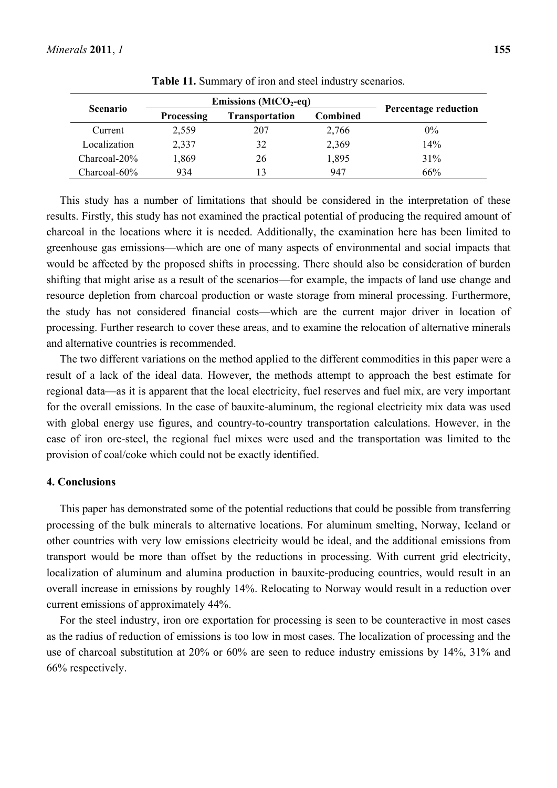|                 |                   | Emissions ( $MtCO2$ -eq) |                 |                             |
|-----------------|-------------------|--------------------------|-----------------|-----------------------------|
| <b>Scenario</b> | <b>Processing</b> | <b>Transportation</b>    | <b>Combined</b> | <b>Percentage reduction</b> |
| Current         | 2,559             | 207                      | 2,766           | $0\%$                       |
| Localization    | 2,337             | 32                       | 2,369           | 14%                         |
| Charcoal-20%    | 1,869             | 26                       | 1,895           | 31%                         |
| Charcoal-60%    | 934               | 13                       | 947             | 66%                         |

**Table 11.** Summary of iron and steel industry scenarios.

This study has a number of limitations that should be considered in the interpretation of these results. Firstly, this study has not examined the practical potential of producing the required amount of charcoal in the locations where it is needed. Additionally, the examination here has been limited to greenhouse gas emissions—which are one of many aspects of environmental and social impacts that would be affected by the proposed shifts in processing. There should also be consideration of burden shifting that might arise as a result of the scenarios—for example, the impacts of land use change and resource depletion from charcoal production or waste storage from mineral processing. Furthermore, the study has not considered financial costs—which are the current major driver in location of processing. Further research to cover these areas, and to examine the relocation of alternative minerals and alternative countries is recommended.

The two different variations on the method applied to the different commodities in this paper were a result of a lack of the ideal data. However, the methods attempt to approach the best estimate for regional data—as it is apparent that the local electricity, fuel reserves and fuel mix, are very important for the overall emissions. In the case of bauxite-aluminum, the regional electricity mix data was used with global energy use figures, and country-to-country transportation calculations. However, in the case of iron ore-steel, the regional fuel mixes were used and the transportation was limited to the provision of coal/coke which could not be exactly identified.

## **4. Conclusions**

This paper has demonstrated some of the potential reductions that could be possible from transferring processing of the bulk minerals to alternative locations. For aluminum smelting, Norway, Iceland or other countries with very low emissions electricity would be ideal, and the additional emissions from transport would be more than offset by the reductions in processing. With current grid electricity, localization of aluminum and alumina production in bauxite-producing countries, would result in an overall increase in emissions by roughly 14%. Relocating to Norway would result in a reduction over current emissions of approximately 44%.

For the steel industry, iron ore exportation for processing is seen to be counteractive in most cases as the radius of reduction of emissions is too low in most cases. The localization of processing and the use of charcoal substitution at 20% or 60% are seen to reduce industry emissions by 14%, 31% and 66% respectively.